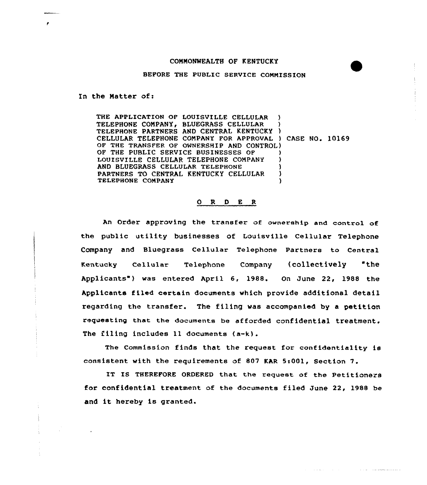## COMMONWEALTH OF KENTUCKY

## BEFORE THE PUBLIC SERVICE CQNNISSION

In the Matter of:

 $\sim$ 

THE APPLICATION OF LOUISVILLE CELLULAR ) TELEPHONE COMPANY, BLUEGRASS CELLULAR ) TELEPHONE PARTNERS AND CENTRAL KENTUCKY ) CELLULAR TELEPHONE COMPANY FOR APPROVAL ) CASE NO. 10169 OF THE TRANSFER OF OWNERSHIP AND CONTROL} OF THE PUBLIC SERVICE BUSINESSES OF LOUISVILLE CELLULAR TELEPHONE COMPANY ) AND BLUEGRASS CELLULAR TELEPHONE PARTNERS TO CENTRAL KENTUCKY CELLULAR ) TELEPHONE COMPANY

## <sup>O</sup> R 0 E <sup>R</sup>

An Order approving the transfer of ownership and control of the public utility businesses of Louisville Cellular Telephone Company and Bluegrass Cellular Telephone Partners to Central Kentucky Cellular Telephone Company (collectively 'the Applicants ) was entered April 6, 1988. On June 22, 1988 the Applicants filed certain documents which provide additional detail regarding the transfer. The filing was accompanied by a petition requesting that the documents be afforded confidential treatment. The filing includes ll documents (a-k).

The Commission finds that the request for confidentiality is consistent with the requirements of 807 KAR 5:001, Section 7.

IT IS THEREFORE ORDERED that the request of the Petitioners for confidential treatment of the documents filed June 22, 1988 be and it hereby is granted.

the analysis of the con-

 $\mathcal{L}(\mathcal{L}(\mathcal{L},\mathcal{L}))$  . The dimensional contracts